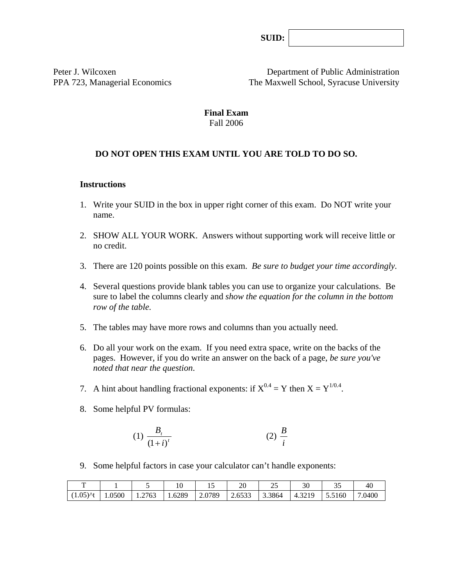**SUID:**

Peter J. Wilcoxen Department of Public Administration PPA 723, Managerial Economics The Maxwell School, Syracuse University

#### **Final Exam**  Fall 2006

# **DO NOT OPEN THIS EXAM UNTIL YOU ARE TOLD TO DO SO.**

#### **Instructions**

- 1. Write your SUID in the box in upper right corner of this exam. Do NOT write your name.
- 2. SHOW ALL YOUR WORK. Answers without supporting work will receive little or no credit.
- 3. There are 120 points possible on this exam. *Be sure to budget your time accordingly.*
- 4. Several questions provide blank tables you can use to organize your calculations. Be sure to label the columns clearly and *show the equation for the column in the bottom row of the table.*
- 5. The tables may have more rows and columns than you actually need.
- 6. Do all your work on the exam. If you need extra space, write on the backs of the pages. However, if you do write an answer on the back of a page, *be sure you've noted that near the question*.
- 7. A hint about handling fractional exponents: if  $X^{0.4} = Y$  then  $X = Y^{1/0.4}$ .
- 8. Some helpful PV formulas:

(1) 
$$
\frac{B_i}{(1+i)^t}
$$
 (2)  $\frac{B}{i}$ 

9. Some helpful factors in case your calculator can't handle exponents:

|              |        |        |        | . .    | 20     | ىك                   |        | $\mathcal{L}$ | 4ŧ.    |
|--------------|--------|--------|--------|--------|--------|----------------------|--------|---------------|--------|
| $(1.05)^{t}$ | 1.0500 | 1.2763 | 1.6289 | 2.0789 | 2.6533 | $\vert 3.3864 \vert$ | 4.3219 | 5.5160        | 7.0400 |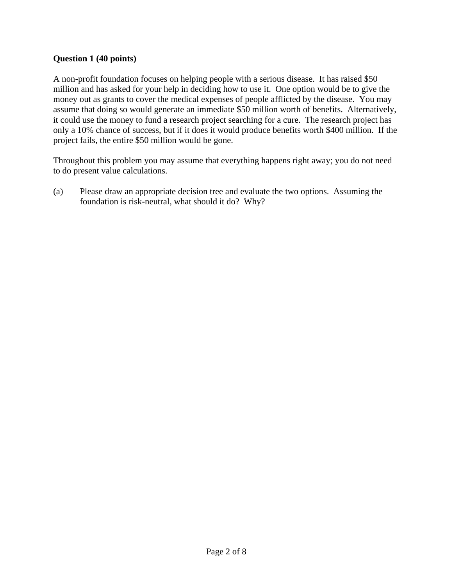# **Question 1 (40 points)**

A non-profit foundation focuses on helping people with a serious disease. It has raised \$50 million and has asked for your help in deciding how to use it. One option would be to give the money out as grants to cover the medical expenses of people afflicted by the disease. You may assume that doing so would generate an immediate \$50 million worth of benefits. Alternatively, it could use the money to fund a research project searching for a cure. The research project has only a 10% chance of success, but if it does it would produce benefits worth \$400 million. If the project fails, the entire \$50 million would be gone.

Throughout this problem you may assume that everything happens right away; you do not need to do present value calculations.

(a) Please draw an appropriate decision tree and evaluate the two options. Assuming the foundation is risk-neutral, what should it do? Why?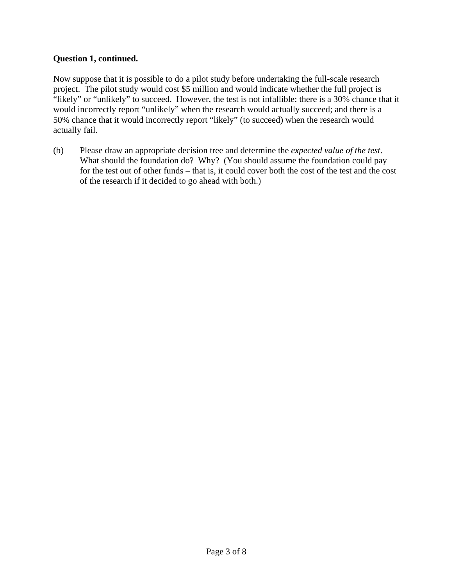# **Question 1, continued.**

Now suppose that it is possible to do a pilot study before undertaking the full-scale research project. The pilot study would cost \$5 million and would indicate whether the full project is "likely" or "unlikely" to succeed. However, the test is not infallible: there is a 30% chance that it would incorrectly report "unlikely" when the research would actually succeed; and there is a 50% chance that it would incorrectly report "likely" (to succeed) when the research would actually fail.

(b) Please draw an appropriate decision tree and determine the *expected value of the test*. What should the foundation do? Why? (You should assume the foundation could pay for the test out of other funds – that is, it could cover both the cost of the test and the cost of the research if it decided to go ahead with both.)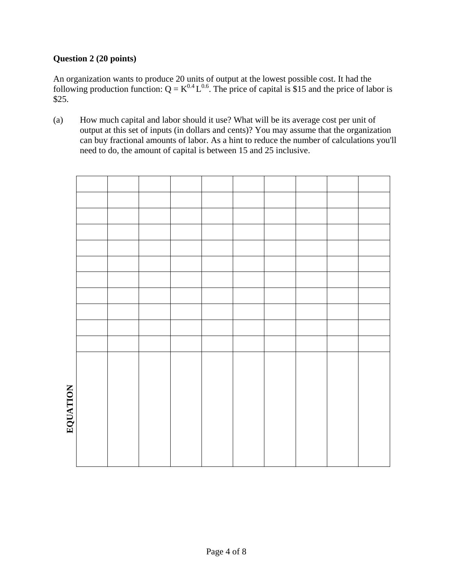# **Question 2 (20 points)**

An organization wants to produce 20 units of output at the lowest possible cost. It had the following production function:  $Q = K^{0.4}L^{0.6}$ . The price of capital is \$15 and the price of labor is \$25.

(a) How much capital and labor should it use? What will be its average cost per unit of output at this set of inputs (in dollars and cents)? You may assume that the organization can buy fractional amounts of labor. As a hint to reduce the number of calculations you'll need to do, the amount of capital is between 15 and 25 inclusive.

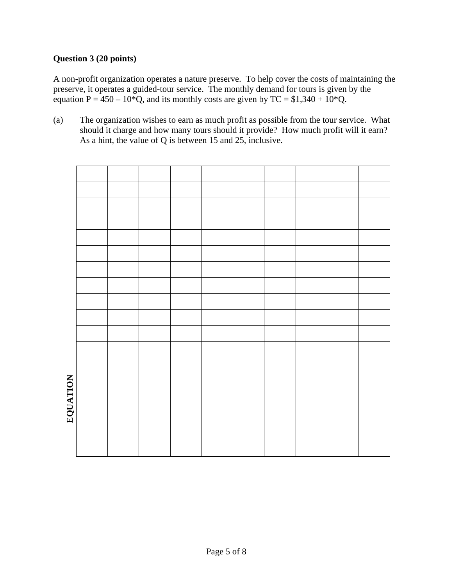# **Question 3 (20 points)**

A non-profit organization operates a nature preserve. To help cover the costs of maintaining the preserve, it operates a guided-tour service. The monthly demand for tours is given by the equation P =  $450 - 10*Q$ , and its monthly costs are given by TC = \$1,340 + 10\*Q.

(a) The organization wishes to earn as much profit as possible from the tour service. What should it charge and how many tours should it provide? How much profit will it earn? As a hint, the value of Q is between 15 and 25, inclusive.

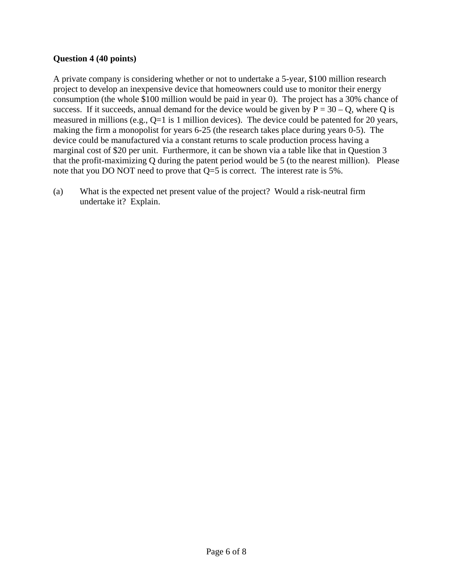# **Question 4 (40 points)**

A private company is considering whether or not to undertake a 5-year, \$100 million research project to develop an inexpensive device that homeowners could use to monitor their energy consumption (the whole \$100 million would be paid in year 0). The project has a 30% chance of success. If it succeeds, annual demand for the device would be given by  $P = 30 - Q$ , where Q is measured in millions (e.g., Q=1 is 1 million devices). The device could be patented for 20 years, making the firm a monopolist for years 6-25 (the research takes place during years 0-5). The device could be manufactured via a constant returns to scale production process having a marginal cost of \$20 per unit. Furthermore, it can be shown via a table like that in Question 3 that the profit-maximizing Q during the patent period would be 5 (to the nearest million). Please note that you DO NOT need to prove that Q=5 is correct. The interest rate is 5%.

(a) What is the expected net present value of the project? Would a risk-neutral firm undertake it? Explain.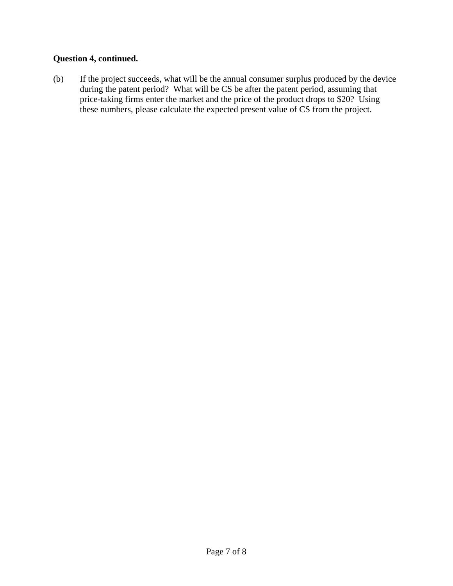# **Question 4, continued.**

(b) If the project succeeds, what will be the annual consumer surplus produced by the device during the patent period? What will be CS be after the patent period, assuming that price-taking firms enter the market and the price of the product drops to \$20? Using these numbers, please calculate the expected present value of CS from the project.